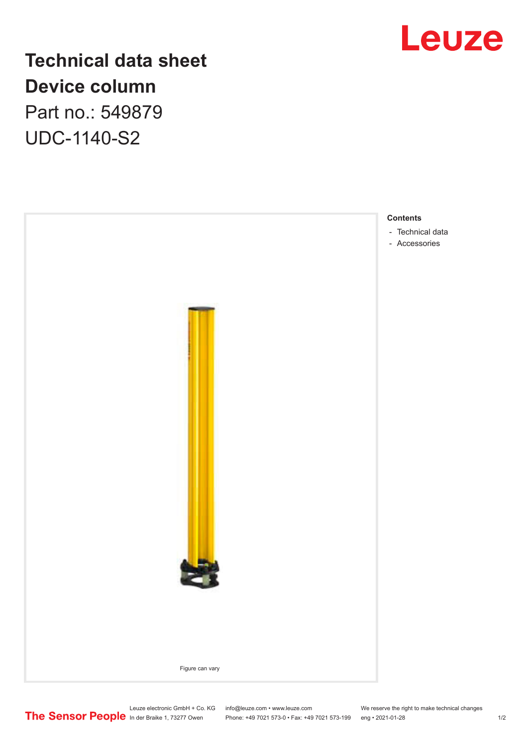

## **Technical data sheet Device column** Part no.: 549879 UDC-1140-S2



Leuze electronic GmbH + Co. KG info@leuze.com • www.leuze.com We reserve the right to make technical changes